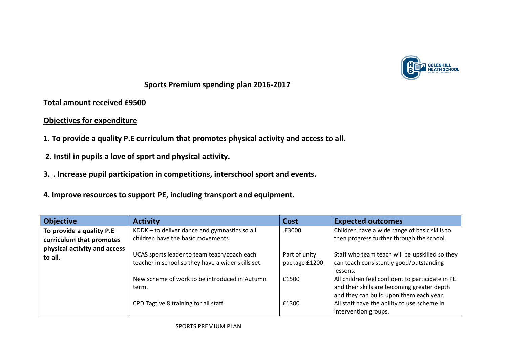

**Sports Premium spending plan 2016-2017**

**Total amount received £9500**

## **Objectives for expenditure**

- **1. To provide a quality P.E curriculum that promotes physical activity and access to all.**
- **2. Instil in pupils a love of sport and physical activity.**
- **3. . Increase pupil participation in competitions, interschool sport and events.**
- **4. Improve resources to support PE, including transport and equipment.**

| <b>Objective</b>                        | <b>Activity</b>                                                                                   | Cost                           | <b>Expected outcomes</b>                                                                                                                   |
|-----------------------------------------|---------------------------------------------------------------------------------------------------|--------------------------------|--------------------------------------------------------------------------------------------------------------------------------------------|
| To provide a quality P.E                | KDDK - to deliver dance and gymnastics so all                                                     | .£3000                         | Children have a wide range of basic skills to                                                                                              |
| curriculum that promotes                | children have the basic movements.                                                                |                                | then progress further through the school.                                                                                                  |
| physical activity and access<br>to all. | UCAS sports leader to team teach/coach each<br>teacher in school so they have a wider skills set. | Part of unity<br>package £1200 | Staff who team teach will be upskilled so they<br>can teach consistently good/outstanding                                                  |
|                                         |                                                                                                   |                                | lessons.                                                                                                                                   |
|                                         | New scheme of work to be introduced in Autumn<br>term.                                            | £1500                          | All children feel confident to participate in PE<br>and their skills are becoming greater depth<br>and they can build upon them each year. |
|                                         | CPD Tagtive 8 training for all staff                                                              | £1300                          | All staff have the ability to use scheme in<br>intervention groups.                                                                        |